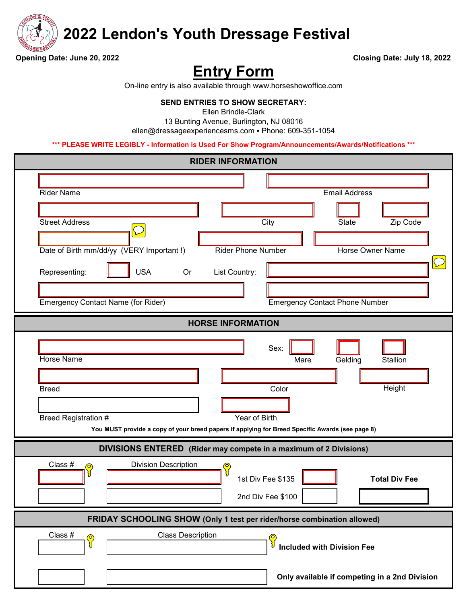

 **2022 Lendon's Youth Dressage Festival**

**Opening Date: June 20, 2022 Closing Date: July 18, 2022**

# **Entry Form**

On-line entry is also available through www.horseshowoffice.com

#### **SEND ENTRIES TO SHOW SECRETARY:**

Ellen Brindle-Clark

ellen@dressageexperiencesms.com ▪ Phone: 609-351-1054 13 Bunting Avenue, Burlington, NJ 08016

**\*\*\* PLEASE WRITE LEGIBLY - Information is Used For Show Program/Announcements/Awards/Notifications \*\*\***

| <b>RIDER INFORMATION</b>                                                                                                                                                                                                                                                                                                                        |  |  |  |
|-------------------------------------------------------------------------------------------------------------------------------------------------------------------------------------------------------------------------------------------------------------------------------------------------------------------------------------------------|--|--|--|
| <b>Rider Name</b><br><b>Email Address</b><br><b>Street Address</b><br>City<br>Zip Code<br><b>State</b><br>Date of Birth mm/dd/yy (VERY Important!)<br><b>Rider Phone Number</b><br>Horse Owner Name<br><b>USA</b><br>Representing:<br>Or<br>List Country:<br><b>Emergency Contact Name (for Rider)</b><br><b>Emergency Contact Phone Number</b> |  |  |  |
| <b>HORSE INFORMATION</b>                                                                                                                                                                                                                                                                                                                        |  |  |  |
| Sex:<br>Horse Name<br>Gelding<br>Stallion<br>Mare<br>Height<br>Color<br><b>Breed</b><br>Year of Birth<br>Breed Registration #<br>You MUST provide a copy of your breed papers if applying for Breed Specific Awards (see page 8)                                                                                                                |  |  |  |
| DIVISIONS ENTERED (Rider may compete in a maximum of 2 Divisions)                                                                                                                                                                                                                                                                               |  |  |  |
| Class #<br><b>Division Description</b><br>$\mathbf{C}$<br>◎<br>1st Div Fee \$135<br><b>Total Div Fee</b><br>2nd Div Fee \$100                                                                                                                                                                                                                   |  |  |  |
| FRIDAY SCHOOLING SHOW (Only 1 test per rider/horse combination allowed)                                                                                                                                                                                                                                                                         |  |  |  |
| Class #<br><b>Class Description</b><br>$\bigcirc$<br>$\odot$<br><b>Included with Division Fee</b><br>∛<br>Only available if competing in a 2nd Division                                                                                                                                                                                         |  |  |  |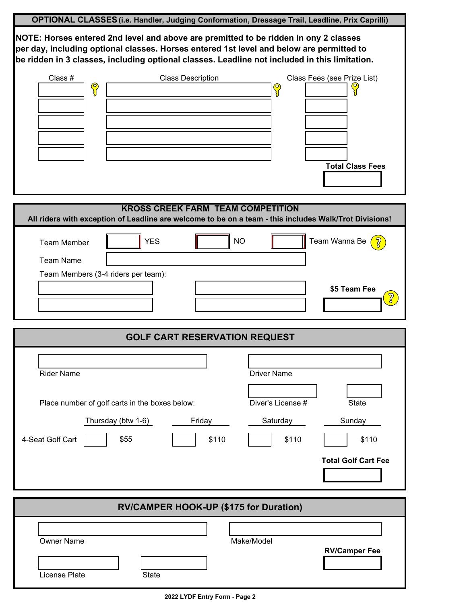| OPTIONAL CLASSES (i.e. Handler, Judging Conformation, Dressage Trail, Leadline, Prix Caprilli)                                                                                                                                                                                    |
|-----------------------------------------------------------------------------------------------------------------------------------------------------------------------------------------------------------------------------------------------------------------------------------|
| NOTE: Horses entered 2nd level and above are premitted to be ridden in ony 2 classes<br>per day, including optional classes. Horses entered 1st level and below are permitted to<br>be ridden in 3 classes, including optional classes. Leadline not included in this limitation. |
| Class #<br><b>Class Description</b><br>Class Fees (see Prize List)<br>$\mathbf{C}$<br>$\mathbf{C}$<br><b>Total Class Fees</b><br><b>KROSS CREEK FARM TEAM COMPETITION</b>                                                                                                         |
| All riders with exception of Leadline are welcome to be on a team - this includes Walk/Trot Divisions!                                                                                                                                                                            |
| <b>YES</b><br>Team Wanna Be<br>$\sqrt{2}$<br><b>NO</b><br><b>Team Member</b>                                                                                                                                                                                                      |
| <b>Team Name</b>                                                                                                                                                                                                                                                                  |
| Team Members (3-4 riders per team):<br>\$5 Team Fee                                                                                                                                                                                                                               |
|                                                                                                                                                                                                                                                                                   |
| <b>GOLF CART RESERVATION REQUEST</b>                                                                                                                                                                                                                                              |
| <b>Rider Name</b><br><b>Driver Name</b>                                                                                                                                                                                                                                           |
| Diver's License #<br>Place number of golf carts in the boxes below:<br><b>State</b>                                                                                                                                                                                               |
| Thursday (btw 1-6)<br>Friday<br>Saturday<br>Sunday<br>4-Seat Golf Cart<br>\$55<br>\$110<br>\$110<br>\$110                                                                                                                                                                         |
| <b>Total Golf Cart Fee</b>                                                                                                                                                                                                                                                        |
| <b>RV/CAMPER HOOK-UP (\$175 for Duration)</b>                                                                                                                                                                                                                                     |
| <b>Owner Name</b><br>Make/Model<br><b>RV/Camper Fee</b>                                                                                                                                                                                                                           |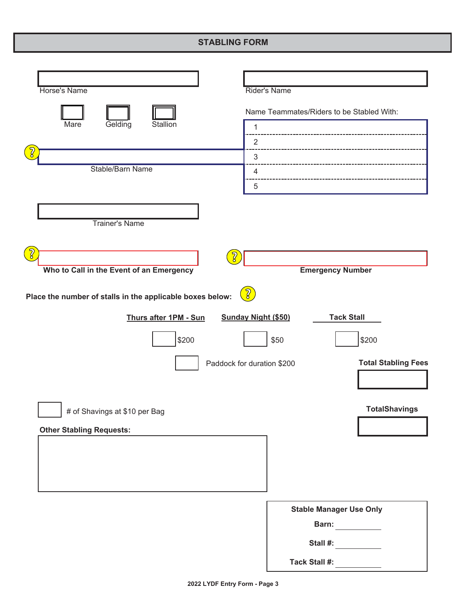### **STABLING FORM**

| <b>Horse's Name</b>                                                                                           | <b>Rider's Name</b>                             |
|---------------------------------------------------------------------------------------------------------------|-------------------------------------------------|
|                                                                                                               | Name Teammates/Riders to be Stabled With:       |
| Mare<br>Gelding<br>Stallion                                                                                   | 1                                               |
|                                                                                                               | $\overline{2}$                                  |
|                                                                                                               | $\sqrt{3}$                                      |
| Stable/Barn Name                                                                                              | 4                                               |
|                                                                                                               | 5                                               |
|                                                                                                               |                                                 |
|                                                                                                               |                                                 |
| <b>Trainer's Name</b>                                                                                         |                                                 |
|                                                                                                               |                                                 |
| <u> ဩ</u>                                                                                                     |                                                 |
| Who to Call in the Event of an Emergency                                                                      | <b>Emergency Number</b>                         |
|                                                                                                               |                                                 |
| $\left[\begin{matrix} 2 \ 0 \end{matrix}\right]$<br>Place the number of stalls in the applicable boxes below: |                                                 |
| Thurs after 1PM - Sun                                                                                         | <b>Sunday Night (\$50)</b><br><b>Tack Stall</b> |
| \$200                                                                                                         | \$200<br>\$50                                   |
|                                                                                                               |                                                 |
| Paddock for duration \$200                                                                                    | <b>Total Stabling Fees</b>                      |
|                                                                                                               |                                                 |
|                                                                                                               |                                                 |
| # of Shavings at \$10 per Bag                                                                                 | <b>TotalShavings</b>                            |
|                                                                                                               |                                                 |
| <b>Other Stabling Requests:</b>                                                                               |                                                 |
|                                                                                                               |                                                 |
|                                                                                                               |                                                 |
|                                                                                                               |                                                 |
|                                                                                                               |                                                 |
|                                                                                                               | <b>Stable Manager Use Only</b>                  |
|                                                                                                               | Barn:                                           |
|                                                                                                               |                                                 |
|                                                                                                               | Stall #:                                        |
|                                                                                                               | <b>Tack Stall #:</b>                            |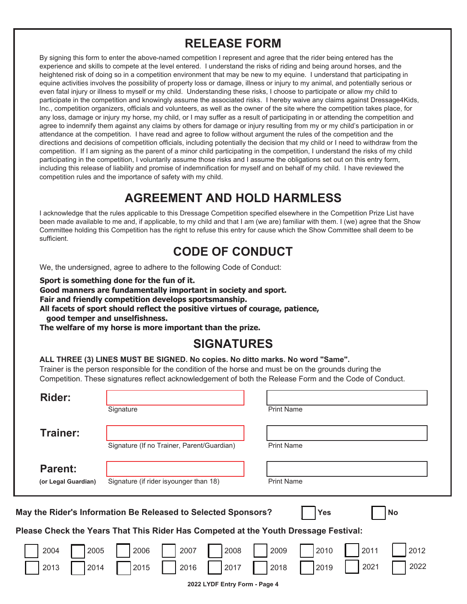## **RELEASE FORM**

By signing this form to enter the above-named competition I represent and agree that the rider being entered has the experience and skills to compete at the level entered. I understand the risks of riding and being around horses, and the heightened risk of doing so in a competition environment that may be new to my equine. I understand that participating in equine activities involves the possibility of property loss or damage, illness or injury to my animal, and potentially serious or even fatal injury or illness to myself or my child. Understanding these risks, I choose to participate or allow my child to participate in the competition and knowingly assume the associated risks. I hereby waive any claims against Dressage4Kids, Inc., competition organizers, officials and volunteers, as well as the owner of the site where the competition takes place, for any loss, damage or injury my horse, my child, or I may suffer as a result of participating in or attending the competition and agree to indemnify them against any claims by others for damage or injury resulting from my or my child's participation in or attendance at the competition. I have read and agree to follow without argument the rules of the competition and the directions and decisions of competition officials, including potentially the decision that my child or I need to withdraw from the competition. If I am signing as the parent of a minor child participating in the competition, I understand the risks of my child participating in the competition, I voluntarily assume those risks and I assume the obligations set out on this entry form, including this release of liability and promise of indemnification for myself and on behalf of my child. I have reviewed the competition rules and the importance of safety with my child.

# **AGREEMENT AND HOLD HARMLESS**

I acknowledge that the rules applicable to this Dressage Competition specified elsewhere in the Competition Prize List have been made available to me and, if applicable, to my child and that I am (we are) familiar with them. I (we) agree that the Show Committee holding this Competition has the right to refuse this entry for cause which the Show Committee shall deem to be sufficient

## **CODE OF CONDUCT**

We, the undersigned, agree to adhere to the following Code of Conduct:

Sport is something done for the fun of it.

Good manners are fundamentally important in society and sport.

Fair and friendly competition develops sportsmanship.

All facets of sport should reflect the positive virtues of courage, patience, good temper and unselfishness.

The welfare of my horse is more important than the prize.

# **SIGNATURES**

#### ALL THREE (3) LINES MUST BE SIGNED. No copies. No ditto marks. No word "Same".

Trainer is the person responsible for the condition of the horse and must be on the grounds during the Competition. These signatures reflect acknowledgement of both the Release Form and the Code of Conduct.

| <b>Rider:</b>                                                                            | <b>Print Name</b><br>Signature                                                                               |  |  |  |
|------------------------------------------------------------------------------------------|--------------------------------------------------------------------------------------------------------------|--|--|--|
| Trainer:                                                                                 | <b>Print Name</b><br>Signature (If no Trainer, Parent/Guardian)                                              |  |  |  |
| <b>Parent:</b><br>(or Legal Guardian)                                                    | <b>Print Name</b><br>Signature (if rider isyounger than 18)                                                  |  |  |  |
| May the Rider's Information Be Released to Selected Sponsors?<br><b>Yes</b><br><b>No</b> |                                                                                                              |  |  |  |
| Please Check the Years That This Rider Has Competed at the Youth Dressage Festival:      |                                                                                                              |  |  |  |
| 2004<br>2005<br>2013<br>2014                                                             | 2012<br>2006<br>2007<br>2008<br>2009<br>2010<br>2011<br>2022<br>2021<br>2017<br>2018<br>2015<br>2016<br>2019 |  |  |  |

2022 LYDF Entry Form - Page 4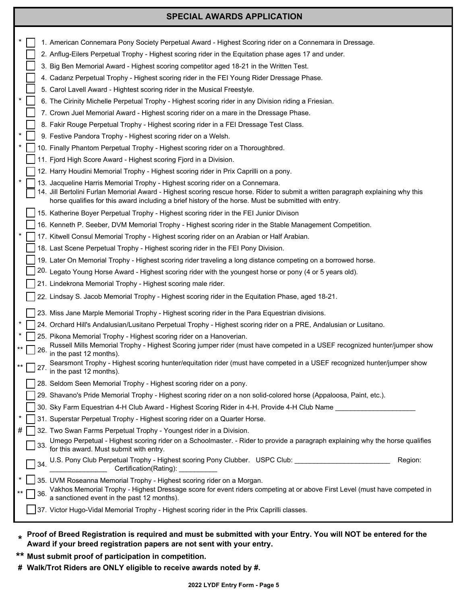#### **SPECIAL AWARDS APPLICATION**

|     | 1. American Connemara Pony Society Perpetual Award - Highest Scoring rider on a Connemara in Dressage.                                                                                                            |
|-----|-------------------------------------------------------------------------------------------------------------------------------------------------------------------------------------------------------------------|
|     | 2. Anflug-Eilers Perpetual Trophy - Highest scoring rider in the Equitation phase ages 17 and under.                                                                                                              |
|     | 3. Big Ben Memorial Award - Highest scoring competitor aged 18-21 in the Written Test.                                                                                                                            |
|     | 4. Cadanz Perpetual Trophy - Highest scoring rider in the FEI Young Rider Dressage Phase.                                                                                                                         |
|     | 5. Carol Lavell Award - Hightest scoring rider in the Musical Freestyle.                                                                                                                                          |
|     | 6. The Cirinity Michelle Perpetual Trophy - Highest scoring rider in any Division riding a Friesian.                                                                                                              |
|     | 7. Crown Juel Memorial Award - Highest scoring rider on a mare in the Dressage Phase.                                                                                                                             |
|     | 8. Fakir Rouge Perpetual Trophy - Highest scoring rider in a FEI Dressage Test Class.                                                                                                                             |
|     | 9. Festive Pandora Trophy - Highest scoring rider on a Welsh.                                                                                                                                                     |
|     | 10. Finally Phantom Perpetual Trophy - Highest scoring rider on a Thoroughbred.                                                                                                                                   |
|     | 11. Fjord High Score Award - Highest scoring Fjord in a Division.                                                                                                                                                 |
|     | 12. Harry Houdini Memorial Trophy - Highest scoring rider in Prix Caprilli on a pony.                                                                                                                             |
|     | 13. Jacqueline Harris Memorial Trophy - Highest scoring rider on a Connemara.<br>14. Jill Bertolini Furlan Memorial Award - Highest scoring rescue horse. Rider to submit a written paragraph explaining why this |
|     | horse qualifies for this award including a brief history of the horse. Must be submitted with entry.                                                                                                              |
|     | 15. Katherine Boyer Perpetual Trophy - Highest scoring rider in the FEI Junior Divison                                                                                                                            |
|     | 16. Kenneth P. Seeber, DVM Memorial Trophy - Highest scoring rider in the Stable Management Competition.                                                                                                          |
|     | 17. Kitwell Consul Memorial Trophy - Highest scoring rider on an Arabian or Half Arabian.                                                                                                                         |
|     | 18. Last Scene Perpetual Trophy - Highest scoring rider in the FEI Pony Division.                                                                                                                                 |
|     | 19. Later On Memorial Trophy - Highest scoring rider traveling a long distance competing on a borrowed horse.                                                                                                     |
|     | 20. Legato Young Horse Award - Highest scoring rider with the youngest horse or pony (4 or 5 years old).                                                                                                          |
|     | 21. Lindekrona Memorial Trophy - Highest scoring male rider.                                                                                                                                                      |
|     | 22. Lindsay S. Jacob Memorial Trophy - Highest scoring rider in the Equitation Phase, aged 18-21.                                                                                                                 |
|     | 23. Miss Jane Marple Memorial Trophy - Highest scoring rider in the Para Equestrian divisions.                                                                                                                    |
|     | 24. Orchard Hill's Andalusian/Lusitano Perpetual Trophy - Highest scoring rider on a PRE, Andalusian or Lusitano.                                                                                                 |
|     | 25. Pikona Memorial Trophy - Highest scoring rider on a Hanoverian.                                                                                                                                               |
| 26. | Russell Mills Memorial Trophy - Highest Scoring jumper rider (must have competed in a USEF recognized hunter/jumper show<br>in the past 12 months).                                                               |
| 27. | Searsmont Trophy - Highest scoring hunter/equitation rider (must have competed in a USEF recognized hunter/jumper show<br>in the past 12 months).                                                                 |
|     | 28. Seldom Seen Memorial Trophy - Highest scoring rider on a pony.                                                                                                                                                |
|     | 29. Shavano's Pride Memorial Trophy - Highest scoring rider on a non solid-colored horse (Appaloosa, Paint, etc.).                                                                                                |
|     | 30. Sky Farm Equestrian 4-H Club Award - Highest Scoring Rider in 4-H. Provide 4-H Club Name                                                                                                                      |
|     | 31. Superstar Perpetual Trophy - Highest scoring rider on a Quarter Horse.                                                                                                                                        |
|     | 32. Two Swan Farms Perpetual Trophy - Youngest rider in a Division.                                                                                                                                               |
| 33. | Umego Perpetual - Highest scoring rider on a Schoolmaster. - Rider to provide a paragraph explaining why the horse qualifies<br>for this award. Must submit with entry.                                           |
| 34. | U.S. Pony Club Perpetual Trophy - Highest scoring Pony Clubber. USPC Club: ________________________<br>Region:<br>Certification(Rating): __________                                                               |
|     | 35. UVM Roseanna Memorial Trophy - Highest scoring rider on a Morgan.                                                                                                                                             |
| 36. | Vakhos Memorial Trophy - Highest Dressage score for event riders competing at or above First Level (must have competed in<br>a sanctioned event in the past 12 months).                                           |
|     | 37. Victor Hugo-Vidal Memorial Trophy - Highest scoring rider in the Prix Caprilli classes.                                                                                                                       |

**\* Proof of Breed Registration is required and must be submitted with your Entry. You will NOT be entered for the Award if your breed registration papers are not sent with your entry.**

- **\*\* Must submit proof of participation in competition.**
- **# Walk/Trot Riders are ONLY eligible to receive awards noted by #.**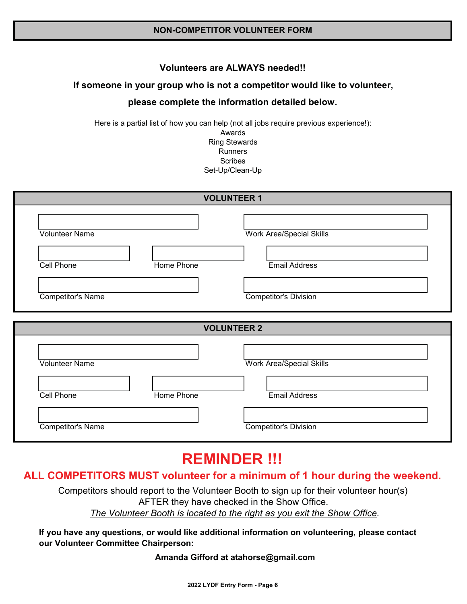#### **Volunteers are ALWAYS needed!!**

#### If someone in your group who is not a competitor would like to volunteer,

#### please complete the information detailed below.

Here is a partial list of how you can help (not all jobs require previous experience!):

Awards **Ring Stewards Runners Scribes** Set-Up/Clean-Up

| <b>VOLUNTEER 1</b>       |            |                                 |  |
|--------------------------|------------|---------------------------------|--|
| <b>Volunteer Name</b>    |            | <b>Work Area/Special Skills</b> |  |
| Cell Phone               | Home Phone | <b>Email Address</b>            |  |
|                          |            |                                 |  |
| <b>Competitor's Name</b> |            | <b>Competitor's Division</b>    |  |
|                          |            | <b>VOLUNTEER 2</b>              |  |
| Volunteer Name           |            | Work Area/Special Skills        |  |
| <b>Cell Phone</b>        | Home Phone | <b>Email Address</b>            |  |

# **REMINDER !!!**

### ALL COMPETITORS MUST volunteer for a minimum of 1 hour during the weekend.

Competitors should report to the Volunteer Booth to sign up for their volunteer hour(s) **AFTER** they have checked in the Show Office. The Volunteer Booth is located to the right as you exit the Show Office.

If you have any questions, or would like additional information on volunteering, please contact our Volunteer Committee Chairperson:

#### Amanda Gifford at atahorse@gmail.com